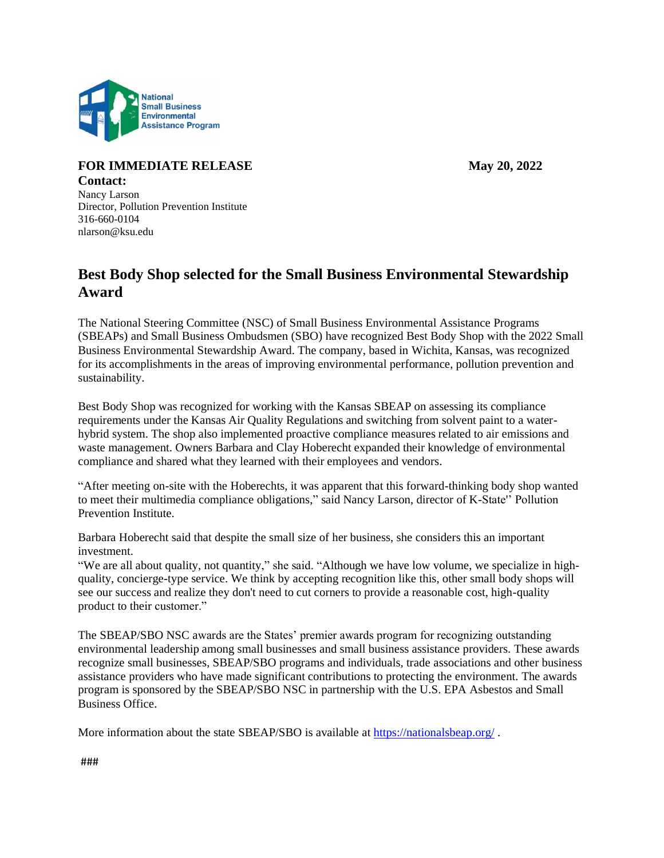

## **FOR IMMEDIATE RELEASE May 20, 2022 Contact:**

Nancy Larson Director, Pollution Prevention Institute 316-660-0104 nlarson@ksu.edu

## **Best Body Shop selected for the Small Business Environmental Stewardship Award**

The National Steering Committee (NSC) of Small Business Environmental Assistance Programs (SBEAPs) and Small Business Ombudsmen (SBO) have recognized Best Body Shop with the 2022 Small Business Environmental Stewardship Award. The company, based in Wichita, Kansas, was recognized for its accomplishments in the areas of improving environmental performance, pollution prevention and sustainability.

Best Body Shop was recognized for working with the Kansas SBEAP on assessing its compliance requirements under the Kansas Air Quality Regulations and switching from solvent paint to a waterhybrid system. The shop also implemented proactive compliance measures related to air emissions and waste management. Owners Barbara and Clay Hoberecht expanded their knowledge of environmental compliance and shared what they learned with their employees and vendors.

"After meeting on-site with the Hoberechts, it was apparent that this forward-thinking body shop wanted to meet their multimedia compliance obligations," said Nancy Larson, director of K-State'' Pollution Prevention Institute.

Barbara Hoberecht said that despite the small size of her business, she considers this an important investment.

"We are all about quality, not quantity," she said. "Although we have low volume, we specialize in highquality, concierge-type service. We think by accepting recognition like this, other small body shops will see our success and realize they don't need to cut corners to provide a reasonable cost, high-quality product to their customer."

The SBEAP/SBO NSC awards are the States' premier awards program for recognizing outstanding environmental leadership among small businesses and small business assistance providers. These awards recognize small businesses, SBEAP/SBO programs and individuals, trade associations and other business assistance providers who have made significant contributions to protecting the environment. The awards program is sponsored by the SBEAP/SBO NSC in partnership with the U.S. EPA Asbestos and Small Business Office.

More information about the state SBEAP/SBO is available at<https://nationalsbeap.org/>.